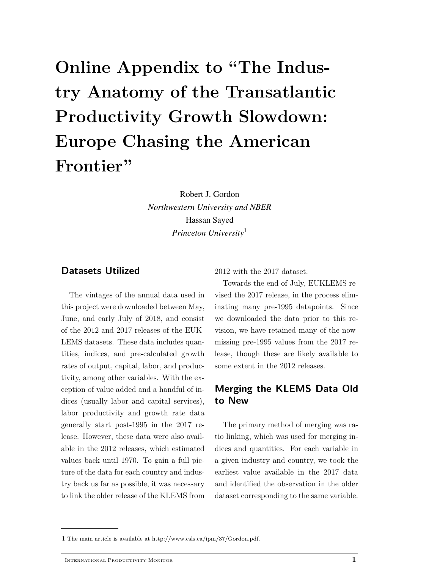# **Online Appendix to "The Industry Anatomy of the Transatlantic Productivity Growth Slowdown: Europe Chasing the American Frontier"**

Robert J. Gordon *Northwestern University and NBER* Hassan Sayed *Princeton University*[1](#page-0-0)

#### **Datasets Utilized**

The vintages of the annual data used in this project were downloaded between May, June, and early July of 2018, and consist of the 2012 and 2017 releases of the EUK-LEMS datasets. These data includes quantities, indices, and pre-calculated growth rates of output, capital, labor, and productivity, among other variables. With the exception of value added and a handful of indices (usually labor and capital services), labor productivity and growth rate data generally start post-1995 in the 2017 release. However, these data were also available in the 2012 releases, which estimated values back until 1970. To gain a full picture of the data for each country and industry back us far as possible, it was necessary to link the older release of the KLEMS from 2012 with the 2017 dataset.

Towards the end of July, EUKLEMS revised the 2017 release, in the process eliminating many pre-1995 datapoints. Since we downloaded the data prior to this revision, we have retained many of the nowmissing pre-1995 values from the 2017 release, though these are likely available to some extent in the 2012 releases.

## **Merging the KLEMS Data Old to New**

The primary method of merging was ratio linking, which was used for merging indices and quantities. For each variable in a given industry and country, we took the earliest value available in the 2017 data and identified the observation in the older dataset corresponding to the same variable.

<span id="page-0-0"></span><sup>1</sup> The main article is available at http://www.csls.ca/ipm/37/Gordon.pdf.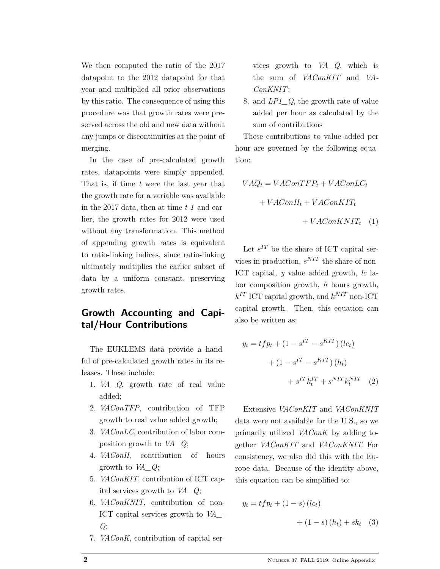We then computed the ratio of the 2017 datapoint to the 2012 datapoint for that year and multiplied all prior observations by this ratio. The consequence of using this procedure was that growth rates were preserved across the old and new data without any jumps or discontinuities at the point of merging.

In the case of pre-calculated growth rates, datapoints were simply appended. That is, if time *t* were the last year that the growth rate for a variable was available in the 2017 data, then at time *t-1* and earlier, the growth rates for 2012 were used without any transformation. This method of appending growth rates is equivalent to ratio-linking indices, since ratio-linking ultimately multiplies the earlier subset of data by a uniform constant, preserving growth rates.

# **Growth Accounting and Capital/Hour Contributions**

The EUKLEMS data provide a handful of pre-calculated growth rates in its releases. These include:

- 1. *VA\_Q*, growth rate of real value added;
- 2. *VAConTFP*, contribution of TFP growth to real value added growth;
- 3. *VAConLC*, contribution of labor composition growth to *VA\_Q*;
- 4. *VAConH*, contribution of hours growth to *VA\_Q*;
- 5. *VAConKIT*, contribution of ICT capital services growth to *VA\_Q*;
- 6. *VAConKNIT*, contribution of non-ICT capital services growth to *VA\_- Q*;
- 7. *VAConK*, contribution of capital ser-

vices growth to *VA\_Q*, which is the sum of *VAConKIT* and *VA-ConKNIT*;

8. and *LP1\_Q*, the growth rate of value added per hour as calculated by the sum of contributions

These contributions to value added per hour are governed by the following equation:

$$
VAQ_t = VAConTFP_t + VAConLC_t
$$

$$
+ VAConH_t + VAConKIT_t
$$

$$
+ VAConKIT_t
$$
(1)

Let  $s^{IT}$  be the share of ICT capital services in production, *s NIT* the share of non-ICT capital, *y* value added growth, *lc* labor composition growth, *h* hours growth,  $k^{IT}$  ICT capital growth, and  $k^{NIT}$  non-ICT capital growth. Then, this equation can also be written as:

$$
y_t = t f p_t + (1 - s^{IT} - s^{KIT}) (lc_t)
$$

$$
+ (1 - s^{IT} - s^{KIT}) (h_t)
$$

$$
+ s^{IT} k_t^{IT} + s^{NIT} k_t^{NIT} (2)
$$

Extensive *VAConKIT* and *VAConKNIT* data were not available for the U.S., so we primarily utilized *VAConK* by adding together *VAConKIT* and *VAConKNIT*. For consistency, we also did this with the Europe data. Because of the identity above, this equation can be simplified to:

$$
y_t = tfp_t + (1 - s) (lc_t)
$$

$$
+ (1 - s) (h_t) + sk_t
$$
 (3)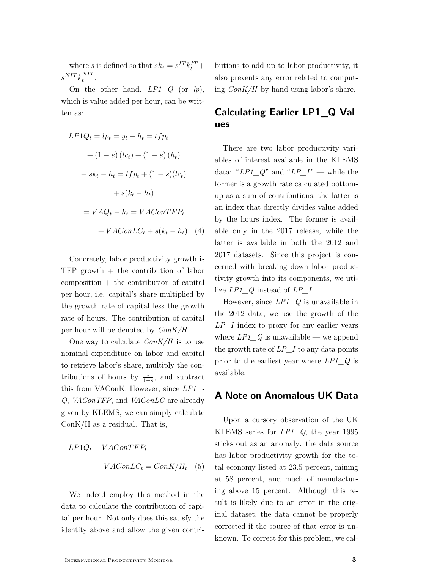where *s* is defined so that  $sk_t = s^{IT}k_t^{IT} +$  $s^{NIT} k_t^{NIT}$  $t^{NII}$ .

On the other hand, *LP1\_Q* (or *lp*), which is value added per hour, can be written as:

$$
LP1Q_t = lp_t = y_t - h_t = tfp_t
$$
  
+ 
$$
(1 - s) (lc_t) + (1 - s) (h_t)
$$
  
+ 
$$
sk_t - h_t = tfp_t + (1 - s)(lc_t)
$$
  
+ 
$$
s(k_t - h_t)
$$
  
= 
$$
VAQ_t - h_t = VAConTFP_t
$$
  
+ 
$$
VAConLC_t + s(k_t - h_t)
$$
 (4)

Concretely, labor productivity growth is TFP growth + the contribution of labor  $composition + the contribution of capital$ per hour, i.e. capital's share multiplied by the growth rate of capital less the growth rate of hours. The contribution of capital per hour will be denoted by *ConK/H*.

One way to calculate *ConK/H* is to use nominal expenditure on labor and capital to retrieve labor's share, multiply the contributions of hours by  $\frac{s}{1-s}$ , and subtract this from VAConK. However, since *LP1\_- Q*, *VAConTFP*, and *VAConLC* are already given by KLEMS, we can simply calculate ConK/H as a residual. That is,

$$
LP1Q_t - VAConTFP_t
$$
  
- 
$$
- VAConLC_t = ConK/H_t
$$
 (5)

We indeed employ this method in the data to calculate the contribution of capital per hour. Not only does this satisfy the identity above and allow the given contri-

butions to add up to labor productivity, it also prevents any error related to computing *ConK/H* by hand using labor's share.

# **Calculating Earlier LP1\_Q Values**

There are two labor productivity variables of interest available in the KLEMS data: " $LPI_Q$ " and " $LP_I$ " — while the former is a growth rate calculated bottomup as a sum of contributions, the latter is an index that directly divides value added by the hours index. The former is available only in the 2017 release, while the latter is available in both the 2012 and 2017 datasets. Since this project is concerned with breaking down labor productivity growth into its components, we utilize *LP1\_Q* instead of *LP\_I*.

However, since *LP1\_Q* is unavailable in the 2012 data, we use the growth of the *LP\_I* index to proxy for any earlier years where *LP1\_Q* is unavailable — we append the growth rate of *LP\_I* to any data points prior to the earliest year where *LP1\_Q* is available.

#### **A Note on Anomalous UK Data**

Upon a cursory observation of the UK KLEMS series for *LP1\_Q*, the year 1995 sticks out as an anomaly: the data source has labor productivity growth for the total economy listed at 23.5 percent, mining at 58 percent, and much of manufacturing above 15 percent. Although this result is likely due to an error in the original dataset, the data cannot be properly corrected if the source of that error is unknown. To correct for this problem, we cal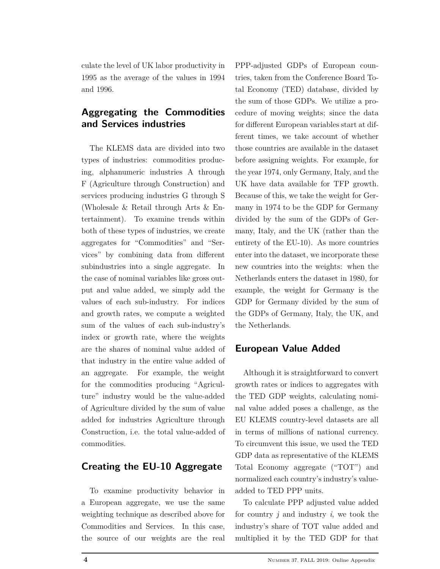culate the level of UK labor productivity in 1995 as the average of the values in 1994 and 1996.

# **Aggregating the Commodities and Services industries**

The KLEMS data are divided into two types of industries: commodities producing, alphanumeric industries A through F (Agriculture through Construction) and services producing industries G through S (Wholesale & Retail through Arts & Entertainment). To examine trends within both of these types of industries, we create aggregates for "Commodities" and "Services" by combining data from different subindustries into a single aggregate. In the case of nominal variables like gross output and value added, we simply add the values of each sub-industry. For indices and growth rates, we compute a weighted sum of the values of each sub-industry's index or growth rate, where the weights are the shares of nominal value added of that industry in the entire value added of an aggregate. For example, the weight for the commodities producing "Agriculture" industry would be the value-added of Agriculture divided by the sum of value added for industries Agriculture through Construction, i.e. the total value-added of commodities.

## **Creating the EU-10 Aggregate**

To examine productivity behavior in a European aggregate, we use the same weighting technique as described above for Commodities and Services. In this case, the source of our weights are the real PPP-adjusted GDPs of European countries, taken from the Conference Board Total Economy (TED) database, divided by the sum of those GDPs. We utilize a procedure of moving weights; since the data for different European variables start at different times, we take account of whether those countries are available in the dataset before assigning weights. For example, for the year 1974, only Germany, Italy, and the UK have data available for TFP growth. Because of this, we take the weight for Germany in 1974 to be the GDP for Germany divided by the sum of the GDPs of Germany, Italy, and the UK (rather than the entirety of the EU-10). As more countries enter into the dataset, we incorporate these new countries into the weights: when the Netherlands enters the dataset in 1980, for example, the weight for Germany is the GDP for Germany divided by the sum of the GDPs of Germany, Italy, the UK, and the Netherlands.

## **European Value Added**

Although it is straightforward to convert growth rates or indices to aggregates with the TED GDP weights, calculating nominal value added poses a challenge, as the EU KLEMS country-level datasets are all in terms of millions of national currency. To circumvent this issue, we used the TED GDP data as representative of the KLEMS Total Economy aggregate ("TOT") and normalized each country's industry's valueadded to TED PPP units.

To calculate PPP adjusted value added for country *j* and industry *i*, we took the industry's share of TOT value added and multiplied it by the TED GDP for that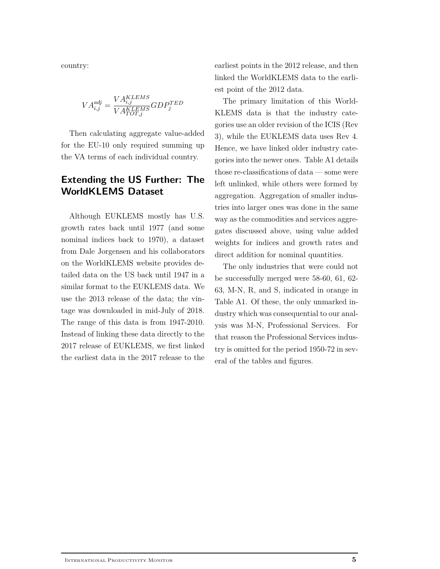country:

$$
VA^{adj}_{i,j} = \frac{VA^{KLEMS}_{i,j}}{VA^{KLEMS}_{TOT,j}} GDP^{TED}_{j}
$$

Then calculating aggregate value-added for the EU-10 only required summing up the VA terms of each individual country.

# **Extending the US Further: The WorldKLEMS Dataset**

Although EUKLEMS mostly has U.S. growth rates back until 1977 (and some nominal indices back to 1970), a dataset from Dale Jorgensen and his collaborators on the WorldKLEMS website provides detailed data on the US back until 1947 in a similar format to the EUKLEMS data. We use the 2013 release of the data; the vintage was downloaded in mid-July of 2018. The range of this data is from 1947-2010. Instead of linking these data directly to the 2017 release of EUKLEMS, we first linked the earliest data in the 2017 release to the

earliest points in the 2012 release, and then linked the WorldKLEMS data to the earliest point of the 2012 data.

The primary limitation of this World-KLEMS data is that the industry categories use an older revision of the ICIS (Rev 3), while the EUKLEMS data uses Rev 4. Hence, we have linked older industry categories into the newer ones. Table A1 details those re-classifications of data — some were left unlinked, while others were formed by aggregation. Aggregation of smaller industries into larger ones was done in the same way as the commodities and services aggregates discussed above, using value added weights for indices and growth rates and direct addition for nominal quantities.

The only industries that were could not be successfully merged were 58-60, 61, 62- 63, M-N, R, and S, indicated in orange in Table A1. Of these, the only unmarked industry which was consequential to our analysis was M-N, Professional Services. For that reason the Professional Services industry is omitted for the period 1950-72 in several of the tables and figures.